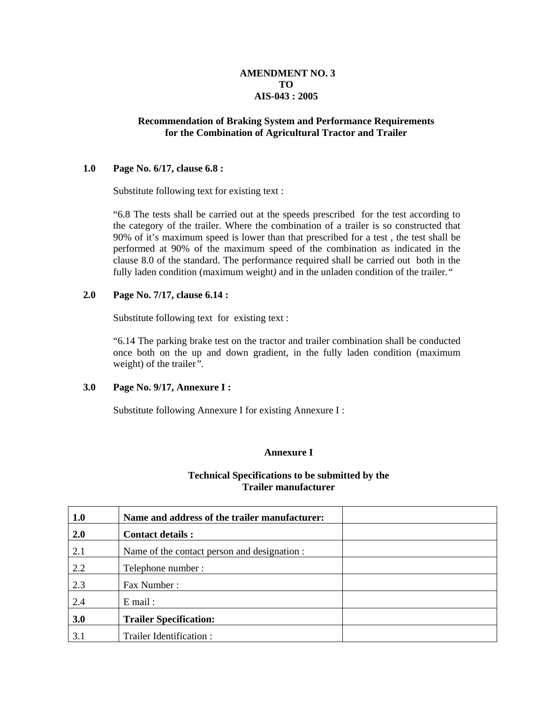## **AMENDMENT NO. 3 TO AIS-043 : 2005**

#### **Recommendation of Braking System and Performance Requirements for the Combination of Agricultural Tractor and Trailer**

#### **1.0 Page No. 6/17, clause 6.8 :**

Substitute following text for existing text :

"6.8 The tests shall be carried out at the speeds prescribed for the test according to the category of the trailer. Where the combination of a trailer is so constructed that 90% of it's maximum speed is lower than that prescribed for a test , the test shall be performed at 90% of the maximum speed of the combination as indicated in the clause 8.0 of the standard. The performance required shall be carried out both in the fully laden condition (maximum weight*)* and in the unladen condition of the trailer*."* 

#### **2.0 Page No. 7/17, clause 6.14 :**

Substitute following text for existing text :

"6.14 The parking brake test on the tractor and trailer combination shall be conducted once both on the up and down gradient, in the fully laden condition (maximum weight) of the trailer*".*

#### **3.0 Page No. 9/17, Annexure I :**

Substitute following Annexure I for existing Annexure I :

#### **Annexure I**

#### **Technical Specifications to be submitted by the Trailer manufacturer**

| 1.0 | Name and address of the trailer manufacturer: |  |
|-----|-----------------------------------------------|--|
| 2.0 | <b>Contact details:</b>                       |  |
| 2.1 | Name of the contact person and designation :  |  |
| 2.2 | Telephone number:                             |  |
| 2.3 | Fax Number:                                   |  |
| 2.4 | $E$ mail:                                     |  |
| 3.0 | <b>Trailer Specification:</b>                 |  |
| 3.1 | Trailer Identification:                       |  |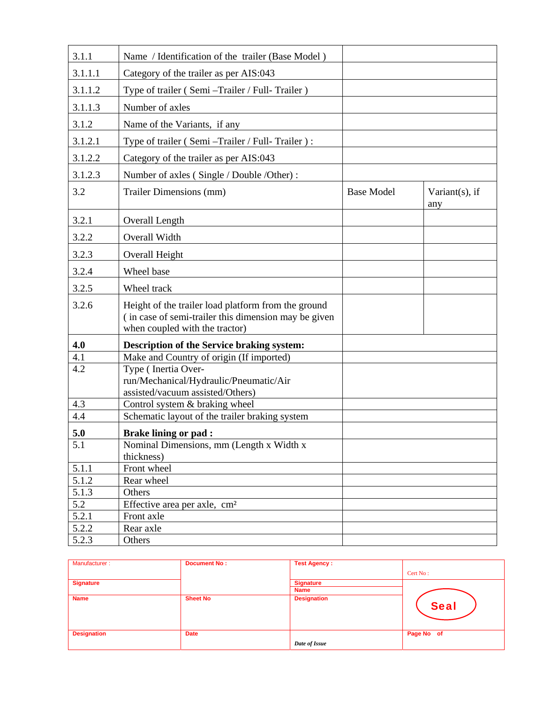| 3.1.1   | Name / Identification of the trailer (Base Model)                                                                                             |                   |                           |
|---------|-----------------------------------------------------------------------------------------------------------------------------------------------|-------------------|---------------------------|
| 3.1.1.1 | Category of the trailer as per AIS:043                                                                                                        |                   |                           |
| 3.1.1.2 | Type of trailer (Semi - Trailer / Full- Trailer)                                                                                              |                   |                           |
| 3.1.1.3 | Number of axles                                                                                                                               |                   |                           |
| 3.1.2   | Name of the Variants, if any                                                                                                                  |                   |                           |
| 3.1.2.1 | Type of trailer (Semi - Trailer / Full- Trailer):                                                                                             |                   |                           |
| 3.1.2.2 | Category of the trailer as per AIS:043                                                                                                        |                   |                           |
| 3.1.2.3 | Number of axles (Single / Double /Other) :                                                                                                    |                   |                           |
| 3.2     | Trailer Dimensions (mm)                                                                                                                       | <b>Base Model</b> | Variant $(s)$ , if<br>any |
| 3.2.1   | Overall Length                                                                                                                                |                   |                           |
| 3.2.2   | Overall Width                                                                                                                                 |                   |                           |
| 3.2.3   | Overall Height                                                                                                                                |                   |                           |
| 3.2.4   | Wheel base                                                                                                                                    |                   |                           |
| 3.2.5   | Wheel track                                                                                                                                   |                   |                           |
| 3.2.6   | Height of the trailer load platform from the ground<br>(in case of semi-trailer this dimension may be given<br>when coupled with the tractor) |                   |                           |
| 4.0     | <b>Description of the Service braking system:</b>                                                                                             |                   |                           |
| 4.1     | Make and Country of origin (If imported)                                                                                                      |                   |                           |
| 4.2     | Type (Inertia Over-<br>run/Mechanical/Hydraulic/Pneumatic/Air<br>assisted/vacuum assisted/Others)                                             |                   |                           |
| 4.3     | Control system & braking wheel                                                                                                                |                   |                           |
| 4.4     | Schematic layout of the trailer braking system                                                                                                |                   |                           |
| 5.0     | <b>Brake lining or pad :</b>                                                                                                                  |                   |                           |
| 5.1     | Nominal Dimensions, mm (Length x Width x<br>thickness)                                                                                        |                   |                           |
| 5.1.1   | Front wheel                                                                                                                                   |                   |                           |
| 5.1.2   | Rear wheel                                                                                                                                    |                   |                           |
| 5.1.3   | Others                                                                                                                                        |                   |                           |
| 5.2     | Effective area per axle, cm <sup>2</sup>                                                                                                      |                   |                           |
| 5.2.1   | Front axle                                                                                                                                    |                   |                           |
| 5.2.2   | Rear axle                                                                                                                                     |                   |                           |
| 5.2.3   | Others                                                                                                                                        |                   |                           |

| Manufacturer:      | <b>Document No:</b> | <b>Test Agency:</b> |             |
|--------------------|---------------------|---------------------|-------------|
|                    |                     |                     | Cert No:    |
| <b>Signature</b>   |                     | <b>Signature</b>    |             |
|                    |                     | <b>Name</b>         |             |
| <b>Name</b>        | <b>Sheet No</b>     | <b>Designation</b>  | <b>Seal</b> |
| <b>Designation</b> | <b>Date</b>         |                     | Page No of  |
|                    |                     | Date of Issue       |             |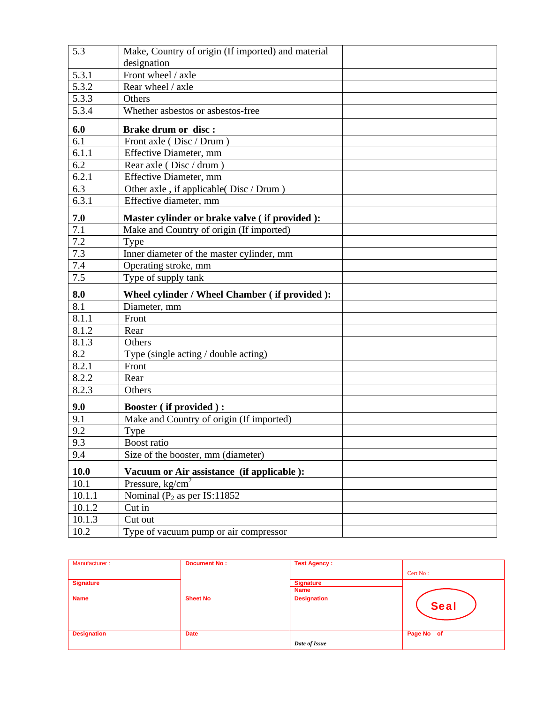| 5.3         | Make, Country of origin (If imported) and material |  |
|-------------|----------------------------------------------------|--|
|             | designation                                        |  |
| 5.3.1       | Front wheel / axle                                 |  |
| 5.3.2       | Rear wheel / axle                                  |  |
| 5.3.3       | Others                                             |  |
| 5.3.4       | Whether asbestos or asbestos-free                  |  |
| 6.0         | <b>Brake drum or disc:</b>                         |  |
| 6.1         | Front axle (Disc / Drum)                           |  |
| 6.1.1       | Effective Diameter, mm                             |  |
| 6.2         | Rear axle (Disc / drum)                            |  |
| 6.2.1       | Effective Diameter, mm                             |  |
| 6.3         | Other axle, if applicable (Disc / Drum)            |  |
| 6.3.1       | Effective diameter, mm                             |  |
| $7.0$       | Master cylinder or brake valve (if provided):      |  |
| 7.1         | Make and Country of origin (If imported)           |  |
| 7.2         | Type                                               |  |
| 7.3         | Inner diameter of the master cylinder, mm          |  |
| 7.4         | Operating stroke, mm                               |  |
| 7.5         | Type of supply tank                                |  |
| 8.0         | Wheel cylinder / Wheel Chamber (if provided):      |  |
| 8.1         | Diameter, mm                                       |  |
| 8.1.1       | Front                                              |  |
| 8.1.2       | Rear                                               |  |
| 8.1.3       | Others                                             |  |
| 8.2         | Type (single acting / double acting)               |  |
| 8.2.1       | Front                                              |  |
| 8.2.2       | Rear                                               |  |
| 8.2.3       | Others                                             |  |
| 9.0         | <b>Booster (if provided):</b>                      |  |
| 9.1         | Make and Country of origin (If imported)           |  |
| 9.2         | Type                                               |  |
| 9.3         | Boost ratio                                        |  |
| 9.4         | Size of the booster, mm (diameter)                 |  |
| <b>10.0</b> | Vacuum or Air assistance (if applicable):          |  |
| 10.1        | Pressure, $kg/cm2$                                 |  |
| 10.1.1      | Nominal ( $P_2$ as per IS:11852                    |  |
| 10.1.2      | Cut in                                             |  |
| 10.1.3      | Cut out                                            |  |
| 10.2        | Type of vacuum pump or air compressor              |  |

| Manufacturer:      | <b>Document No:</b> | <b>Test Agency:</b> |             |
|--------------------|---------------------|---------------------|-------------|
|                    |                     |                     | Cert No:    |
| <b>Signature</b>   |                     | <b>Signature</b>    |             |
|                    |                     | <b>Name</b>         |             |
| <b>Name</b>        | <b>Sheet No</b>     | <b>Designation</b>  | <b>Seal</b> |
| <b>Designation</b> | <b>Date</b>         |                     | Page No of  |
|                    |                     | Date of Issue       |             |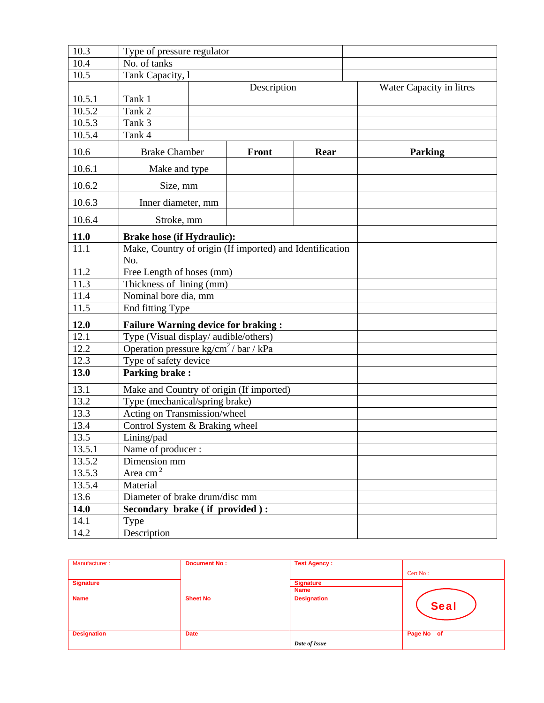| 10.3                | Type of pressure regulator                                      |  |              |      |                          |
|---------------------|-----------------------------------------------------------------|--|--------------|------|--------------------------|
| 10.4                | No. of tanks                                                    |  |              |      |                          |
| 10.5                | Tank Capacity, l                                                |  |              |      |                          |
|                     |                                                                 |  | Description  |      | Water Capacity in litres |
| 10.5.1              | Tank 1                                                          |  |              |      |                          |
| 10.5.2              | Tank 2                                                          |  |              |      |                          |
| 10.5.3              | Tank 3                                                          |  |              |      |                          |
| 10.5.4              | Tank 4                                                          |  |              |      |                          |
| 10.6                | <b>Brake Chamber</b>                                            |  | <b>Front</b> | Rear | <b>Parking</b>           |
| 10.6.1              | Make and type                                                   |  |              |      |                          |
| 10.6.2              | Size, mm                                                        |  |              |      |                          |
| 10.6.3              | Inner diameter, mm                                              |  |              |      |                          |
| 10.6.4              | Stroke, mm                                                      |  |              |      |                          |
| 11.0                | <b>Brake hose (if Hydraulic):</b>                               |  |              |      |                          |
| 11.1                | Make, Country of origin (If imported) and Identification<br>No. |  |              |      |                          |
| 11.2                | Free Length of hoses (mm)                                       |  |              |      |                          |
| 11.3                | Thickness of lining (mm)                                        |  |              |      |                          |
| 11.4                | Nominal bore dia, mm                                            |  |              |      |                          |
| $\frac{11.5}{11.5}$ | End fitting Type                                                |  |              |      |                          |
| 12.0                | <b>Failure Warning device for braking:</b>                      |  |              |      |                          |
| 12.1                | Type (Visual display/ audible/others)                           |  |              |      |                          |
| 12.2                | Operation pressure $\text{kg/cm}^2$ / bar / kPa                 |  |              |      |                          |
| 12.3                | Type of safety device                                           |  |              |      |                          |
| 13.0                | <b>Parking brake:</b>                                           |  |              |      |                          |
| 13.1                | Make and Country of origin (If imported)                        |  |              |      |                          |
| 13.2                | Type (mechanical/spring brake)                                  |  |              |      |                          |
| 13.3                | Acting on Transmission/wheel                                    |  |              |      |                          |
| 13.4                | Control System & Braking wheel                                  |  |              |      |                          |
| 13.5                | Lining/pad                                                      |  |              |      |                          |
| 13.5.1              | Name of producer:                                               |  |              |      |                          |
| 13.5.2              | Dimension mm                                                    |  |              |      |                          |
| 13.5.3              | Area cm <sup>2</sup>                                            |  |              |      |                          |
| 13.5.4              | Material                                                        |  |              |      |                          |
| 13.6                | Diameter of brake drum/disc mm                                  |  |              |      |                          |
| <b>14.0</b>         | Secondary brake (if provided):                                  |  |              |      |                          |
| 14.1                | Type                                                            |  |              |      |                          |
| 14.2                | Description                                                     |  |              |      |                          |

| Manufacturer:      | <b>Document No:</b> | <b>Test Agency:</b> |             |
|--------------------|---------------------|---------------------|-------------|
|                    |                     |                     | Cert No:    |
| <b>Signature</b>   |                     | <b>Signature</b>    |             |
|                    |                     | <b>Name</b>         |             |
| <b>Name</b>        | <b>Sheet No</b>     | <b>Designation</b>  | <b>Seal</b> |
| <b>Designation</b> | <b>Date</b>         |                     | Page No of  |
|                    |                     | Date of Issue       |             |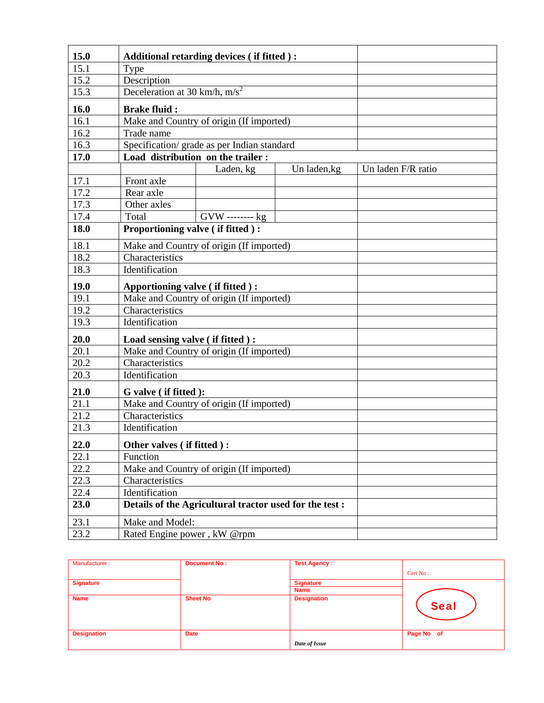| 15.0 |                                    | Additional retarding devices (if fitted):               |              |                    |
|------|------------------------------------|---------------------------------------------------------|--------------|--------------------|
| 15.1 | Type                               |                                                         |              |                    |
| 15.2 | Description                        |                                                         |              |                    |
| 15.3 | Deceleration at 30 km/h, $m/s^2$   |                                                         |              |                    |
| 16.0 | <b>Brake fluid:</b>                |                                                         |              |                    |
| 16.1 |                                    | Make and Country of origin (If imported)                |              |                    |
| 16.2 | Trade name                         |                                                         |              |                    |
| 16.3 |                                    | Specification/ grade as per Indian standard             |              |                    |
| 17.0 | Load distribution on the trailer : |                                                         |              |                    |
|      |                                    | Laden, kg                                               | Un laden, kg | Un laden F/R ratio |
| 17.1 | Front axle                         |                                                         |              |                    |
| 17.2 | Rear axle                          |                                                         |              |                    |
| 17.3 | Other axles                        |                                                         |              |                    |
| 17.4 | Total                              | $GVW$ -------- $kg$                                     |              |                    |
| 18.0 | Proportioning valve (if fitted):   |                                                         |              |                    |
| 18.1 |                                    | Make and Country of origin (If imported)                |              |                    |
| 18.2 | Characteristics                    |                                                         |              |                    |
| 18.3 | Identification                     |                                                         |              |                    |
| 19.0 | Apportioning valve (if fitted):    |                                                         |              |                    |
| 19.1 |                                    | Make and Country of origin (If imported)                |              |                    |
| 19.2 | Characteristics                    |                                                         |              |                    |
| 19.3 | Identification                     |                                                         |              |                    |
| 20.0 | Load sensing valve (if fitted):    |                                                         |              |                    |
| 20.1 |                                    | Make and Country of origin (If imported)                |              |                    |
| 20.2 | Characteristics                    |                                                         |              |                    |
| 20.3 | Identification                     |                                                         |              |                    |
| 21.0 | G valve (if fitted):               |                                                         |              |                    |
| 21.1 |                                    | Make and Country of origin (If imported)                |              |                    |
| 21.2 | Characteristics                    |                                                         |              |                    |
| 21.3 | Identification                     |                                                         |              |                    |
| 22.0 | Other valves (if fitted):          |                                                         |              |                    |
| 22.1 | Function                           |                                                         |              |                    |
| 22.2 |                                    | Make and Country of origin (If imported)                |              |                    |
| 22.3 | Characteristics                    |                                                         |              |                    |
| 22.4 | Identification                     |                                                         |              |                    |
| 23.0 |                                    | Details of the Agricultural tractor used for the test : |              |                    |
| 23.1 | Make and Model:                    |                                                         |              |                    |
| 23.2 | Rated Engine power, kW @rpm        |                                                         |              |                    |

| Manufacturer:      | <b>Document No:</b> | <b>Test Agency:</b> |             |
|--------------------|---------------------|---------------------|-------------|
|                    |                     |                     | Cert No:    |
| <b>Signature</b>   |                     | <b>Signature</b>    |             |
|                    |                     | <b>Name</b>         |             |
| <b>Name</b>        | <b>Sheet No</b>     | <b>Designation</b>  | <b>Seal</b> |
| <b>Designation</b> | <b>Date</b>         |                     | Page No of  |
|                    |                     | Date of Issue       |             |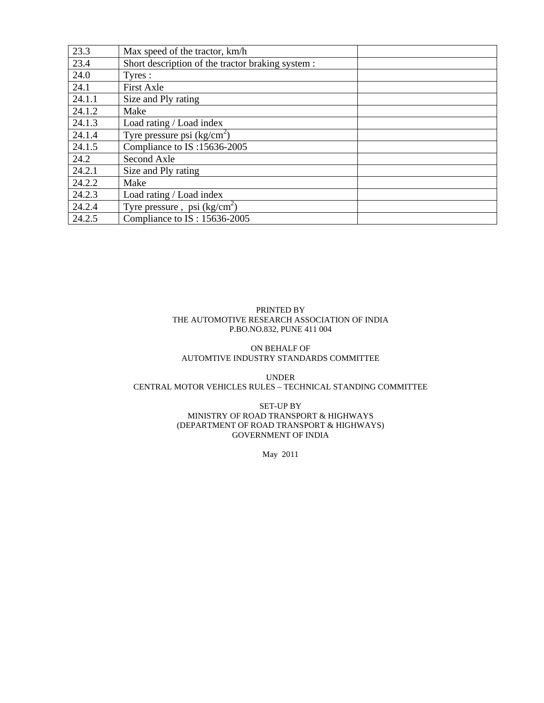| 23.3   | Max speed of the tractor, km/h                    |
|--------|---------------------------------------------------|
| 23.4   | Short description of the tractor braking system : |
| 24.0   | Tyres:                                            |
| 24.1   | <b>First Axle</b>                                 |
| 24.1.1 | Size and Ply rating                               |
| 24.1.2 | Make                                              |
| 24.1.3 | Load rating / Load index                          |
| 24.1.4 | Tyre pressure psi $(kg/cm2)$                      |
| 24.1.5 | Compliance to IS:15636-2005                       |
| 24.2   | Second Axle                                       |
| 24.2.1 | Size and Ply rating                               |
| 24.2.2 | Make                                              |
| 24.2.3 | Load rating / Load index                          |
| 24.2.4 | Tyre pressure, psi $(kg/cm2)$                     |
| 24.2.5 | Compliance to IS: 15636-2005                      |

#### PRINTED BY THE AUTOMOTIVE RESEARCH ASSOCIATION OF INDIA P.BO.NO.832, PUNE 411 004

#### ON BEHALF OF AUTOMTIVE INDUSTRY STANDARDS COMMITTEE

UNDER CENTRAL MOTOR VEHICLES RULES – TECHNICAL STANDING COMMITTEE

> SET-UP BY MINISTRY OF ROAD TRANSPORT & HIGHWAYS (DEPARTMENT OF ROAD TRANSPORT & HIGHWAYS) GOVERNMENT OF INDIA

> > May 2011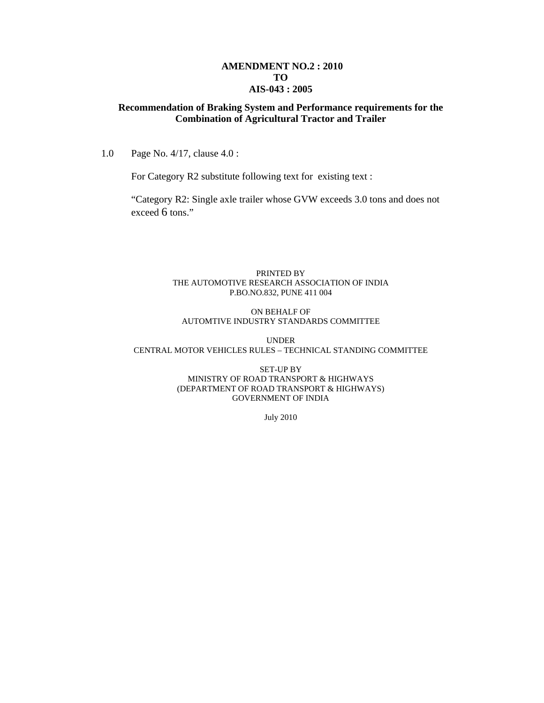#### **AMENDMENT NO.2 : 2010 TO AIS-043 : 2005**

### **Recommendation of Braking System and Performance requirements for the Combination of Agricultural Tractor and Trailer**

1.0 Page No. 4/17, clause 4.0 :

For Category R2 substitute following text for existing text :

"Category R2: Single axle trailer whose GVW exceeds 3.0 tons and does not exceed 6 tons."

#### PRINTED BY THE AUTOMOTIVE RESEARCH ASSOCIATION OF INDIA P.BO.NO.832, PUNE 411 004

#### ON BEHALF OF AUTOMTIVE INDUSTRY STANDARDS COMMITTEE

UNDER CENTRAL MOTOR VEHICLES RULES – TECHNICAL STANDING COMMITTEE

#### SET-UP BY MINISTRY OF ROAD TRANSPORT & HIGHWAYS (DEPARTMENT OF ROAD TRANSPORT & HIGHWAYS) GOVERNMENT OF INDIA

July 2010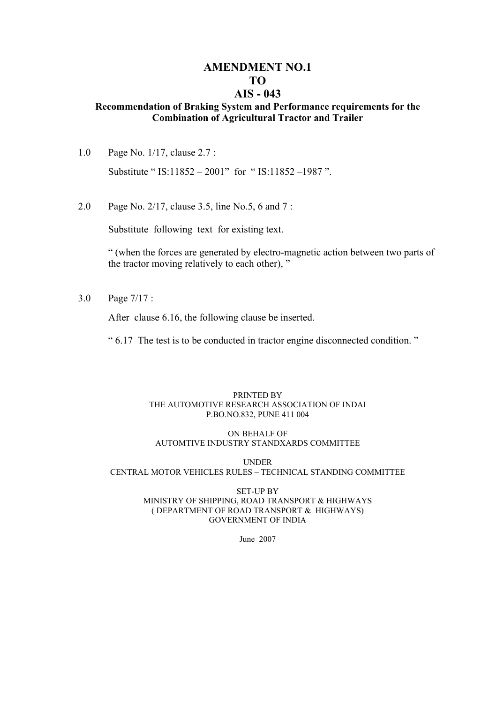# **AMENDMENT NO.1 TO**

# **AIS - 043**

## **Recommendation of Braking System and Performance requirements for the Combination of Agricultural Tractor and Trailer**

- 1.0 Page No. 1/17, clause 2.7 : Substitute " IS:11852 – 2001" for " IS:11852 –1987 ".
- 2.0 Page No. 2/17, clause 3.5, line No.5, 6 and 7 :

Substitute following text for existing text.

" (when the forces are generated by electro-magnetic action between two parts of the tractor moving relatively to each other), "

3.0 Page 7/17 :

After clause 6.16, the following clause be inserted.

" 6.17 The test is to be conducted in tractor engine disconnected condition. "

#### PRINTED BY THE AUTOMOTIVE RESEARCH ASSOCIATION OF INDAI P.BO.NO.832, PUNE 411 004

## ON BEHALF OF AUTOMTIVE INDUSTRY STANDXARDS COMMITTEE

UNDER

CENTRAL MOTOR VEHICLES RULES – TECHNICAL STANDING COMMITTEE

#### SET-UP BY MINISTRY OF SHIPPING, ROAD TRANSPORT & HIGHWAYS ( DEPARTMENT OF ROAD TRANSPORT & HIGHWAYS) GOVERNMENT OF INDIA

June 2007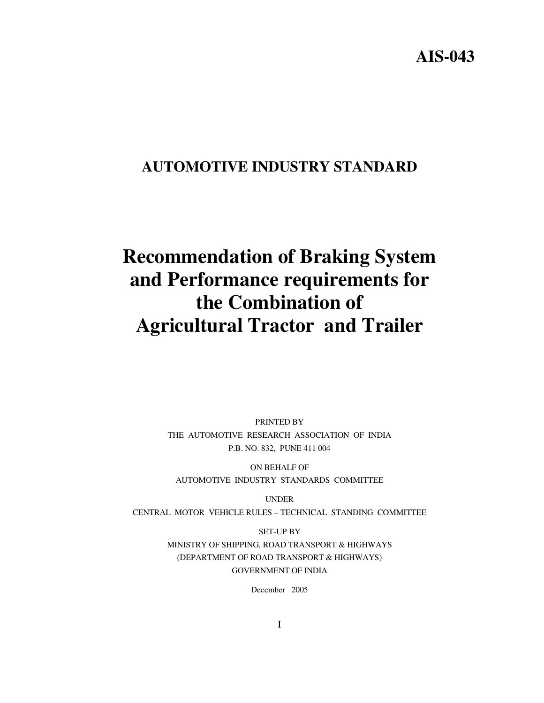# **AIS-043**

# **AUTOMOTIVE INDUSTRY STANDARD**

# **Recommendation of Braking System and Performance requirements for the Combination of Agricultural Tractor and Trailer**

PRINTED BY THE AUTOMOTIVE RESEARCH ASSOCIATION OF INDIA P.B. NO. 832, PUNE 411 004

ON BEHALF OF AUTOMOTIVE INDUSTRY STANDARDS COMMITTEE

UNDER CENTRAL MOTOR VEHICLE RULES – TECHNICAL STANDING COMMITTEE

> SET-UP BY MINISTRY OF SHIPPING, ROAD TRANSPORT & HIGHWAYS (DEPARTMENT OF ROAD TRANSPORT & HIGHWAYS) GOVERNMENT OF INDIA

> > December 2005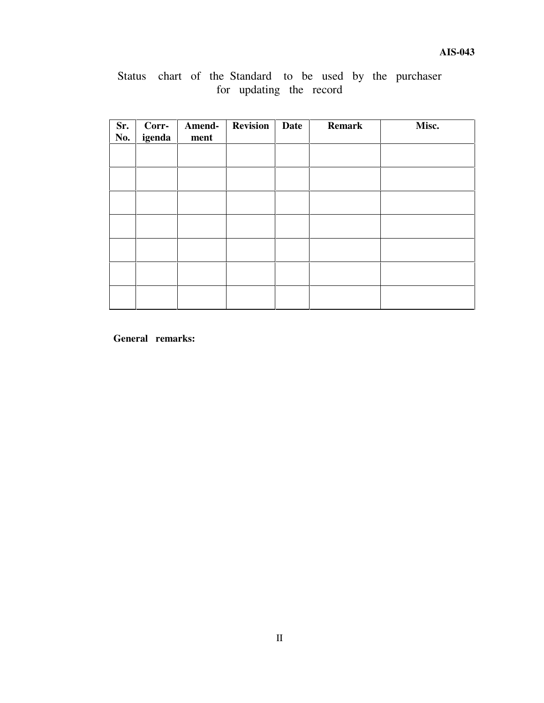# Status chart of the Standard to be used by the purchaser for updating the record

| Sr.<br>No. | Corr-<br>igenda | Amend-<br>ment | <b>Revision</b> | <b>Date</b> | <b>Remark</b> | Misc. |
|------------|-----------------|----------------|-----------------|-------------|---------------|-------|
|            |                 |                |                 |             |               |       |
|            |                 |                |                 |             |               |       |
|            |                 |                |                 |             |               |       |
|            |                 |                |                 |             |               |       |
|            |                 |                |                 |             |               |       |
|            |                 |                |                 |             |               |       |
|            |                 |                |                 |             |               |       |

**General remarks:**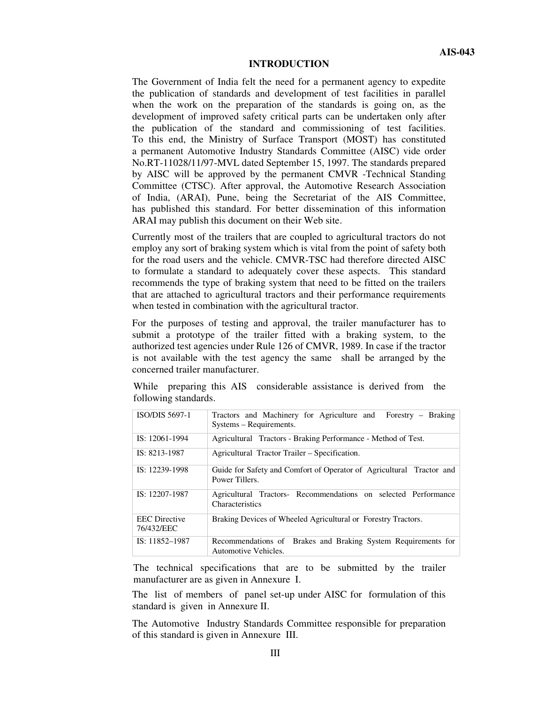#### **INTRODUCTION**

The Government of India felt the need for a permanent agency to expedite the publication of standards and development of test facilities in parallel when the work on the preparation of the standards is going on, as the development of improved safety critical parts can be undertaken only after the publication of the standard and commissioning of test facilities. To this end, the Ministry of Surface Transport (MOST) has constituted a permanent Automotive Industry Standards Committee (AISC) vide order No.RT-11028/11/97-MVL dated September 15, 1997. The standards prepared by AISC will be approved by the permanent CMVR -Technical Standing Committee (CTSC). After approval, the Automotive Research Association of India, (ARAI), Pune, being the Secretariat of the AIS Committee, has published this standard. For better dissemination of this information ARAI may publish this document on their Web site.

Currently most of the trailers that are coupled to agricultural tractors do not employ any sort of braking system which is vital from the point of safety both for the road users and the vehicle. CMVR-TSC had therefore directed AISC to formulate a standard to adequately cover these aspects. This standard recommends the type of braking system that need to be fitted on the trailers that are attached to agricultural tractors and their performance requirements when tested in combination with the agricultural tractor.

For the purposes of testing and approval, the trailer manufacturer has to submit a prototype of the trailer fitted with a braking system, to the authorized test agencies under Rule 126 of CMVR, 1989. In case if the tractor is not available with the test agency the same shall be arranged by the concerned trailer manufacturer.

|                      |  | While preparing this AIS considerable assistance is derived from the |  |  |  |
|----------------------|--|----------------------------------------------------------------------|--|--|--|
| following standards. |  |                                                                      |  |  |  |

| <b>ISO/DIS 5697-1</b>              | Tractors and Machinery for Agriculture and Forestry - Braking<br>Systems – Requirements. |
|------------------------------------|------------------------------------------------------------------------------------------|
| IS: 12061-1994                     | Agricultural Tractors - Braking Performance - Method of Test.                            |
| IS: 8213-1987                      | Agricultural Tractor Trailer – Specification.                                            |
| IS: 12239-1998                     | Guide for Safety and Comfort of Operator of Agricultural Tractor and<br>Power Tillers.   |
| IS: 12207-1987                     | Agricultural Tractors- Recommendations on selected Performance<br>Characteristics        |
| <b>EEC</b> Directive<br>76/432/EEC | Braking Devices of Wheeled Agricultural or Forestry Tractors.                            |
| $IS: 11852 - 1987$                 | Recommendations of Brakes and Braking System Requirements for<br>Automotive Vehicles.    |

The technical specifications that are to be submitted by the trailer manufacturer are as given in Annexure I.

The list of members of panel set-up under AISC for formulation of this standard is given in Annexure II.

The Automotive Industry Standards Committee responsible for preparation of this standard is given in Annexure III.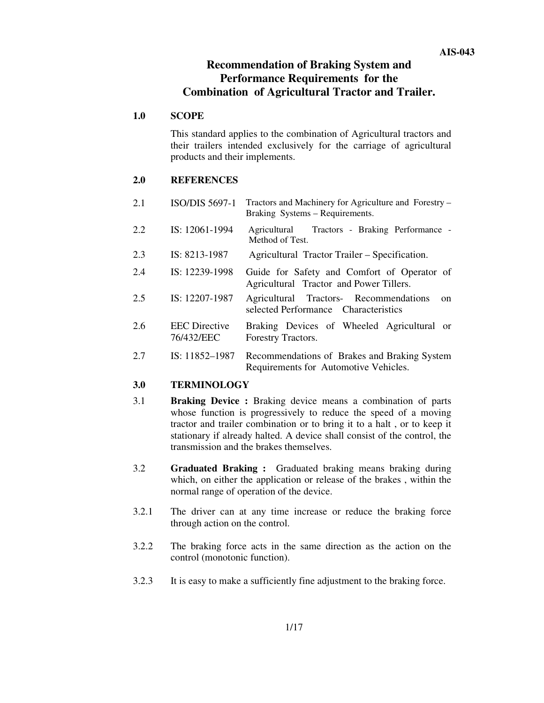## **Recommendation of Braking System and Performance Requirements for the Combination of Agricultural Tractor and Trailer.**

#### **1.0 SCOPE**

This standard applies to the combination of Agricultural tractors and their trailers intended exclusively for the carriage of agricultural products and their implements.

#### **2.0 REFERENCES**

- 2.1 ISO/DIS 5697-1 Tractors and Machinery for Agriculture and Forestry Braking Systems – Requirements. 2.2 IS: 12061-1994 Agricultural Tractors - Braking Performance - Method of Test.
- 2.3 IS: 8213-1987 Agricultural Tractor Trailer Specification.
- 2.4 IS: 12239-1998 Guide for Safety and Comfort of Operator of Agricultural Tractor and Power Tillers.
- 2.5 IS: 12207-1987 Agricultural Tractors- Recommendations on selected Performance Characteristics
- 2.6 EEC Directive 76/432/EEC Braking Devices of Wheeled Agricultural or Forestry Tractors.
- 2.7 IS: 11852–1987 Recommendations of Brakes and Braking System Requirements for Automotive Vehicles.

#### **3.0 TERMINOLOGY**

- 3.1 **Braking Device :** Braking device means a combination of parts whose function is progressively to reduce the speed of a moving tractor and trailer combination or to bring it to a halt , or to keep it stationary if already halted. A device shall consist of the control, the transmission and the brakes themselves.
- 3.2 **Graduated Braking :** Graduated braking means braking during which, on either the application or release of the brakes , within the normal range of operation of the device.
- 3.2.1 The driver can at any time increase or reduce the braking force through action on the control.
- 3.2.2 The braking force acts in the same direction as the action on the control (monotonic function).
- 3.2.3 It is easy to make a sufficiently fine adjustment to the braking force.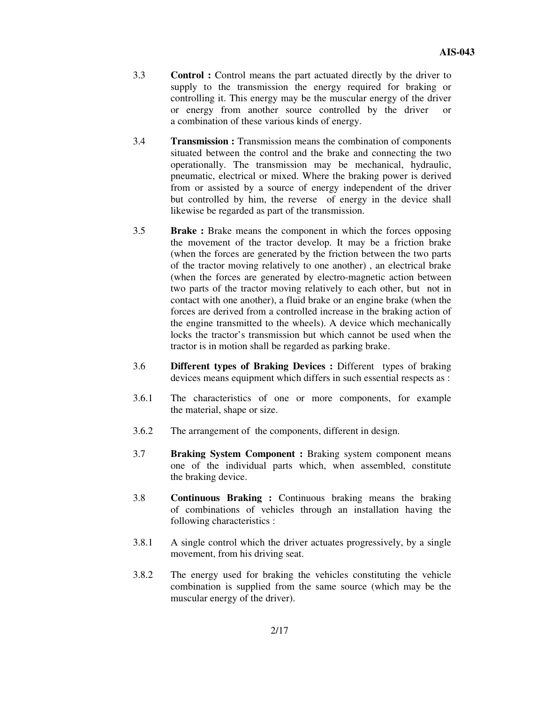- 3.3 **Control :** Control means the part actuated directly by the driver to supply to the transmission the energy required for braking or controlling it. This energy may be the muscular energy of the driver or energy from another source controlled by the driver or a combination of these various kinds of energy.
- 3.4 **Transmission :** Transmission means the combination of components situated between the control and the brake and connecting the two operationally. The transmission may be mechanical, hydraulic, pneumatic, electrical or mixed. Where the braking power is derived from or assisted by a source of energy independent of the driver but controlled by him, the reverse of energy in the device shall likewise be regarded as part of the transmission.
- 3.5 **Brake :** Brake means the component in which the forces opposing the movement of the tractor develop. It may be a friction brake (when the forces are generated by the friction between the two parts of the tractor moving relatively to one another) , an electrical brake (when the forces are generated by electro-magnetic action between two parts of the tractor moving relatively to each other, but not in contact with one another), a fluid brake or an engine brake (when the forces are derived from a controlled increase in the braking action of the engine transmitted to the wheels). A device which mechanically locks the tractor's transmission but which cannot be used when the tractor is in motion shall be regarded as parking brake.
- 3.6 **Different types of Braking Devices :** Different types of braking devices means equipment which differs in such essential respects as :
- 3.6.1 The characteristics of one or more components, for example the material, shape or size.
- 3.6.2 The arrangement of the components, different in design.
- 3.7 **Braking System Component :** Braking system component means one of the individual parts which, when assembled, constitute the braking device.
- 3.8 **Continuous Braking :** Continuous braking means the braking of combinations of vehicles through an installation having the following characteristics :
- 3.8.1 A single control which the driver actuates progressively, by a single movement, from his driving seat.
- 3.8.2 The energy used for braking the vehicles constituting the vehicle combination is supplied from the same source (which may be the muscular energy of the driver).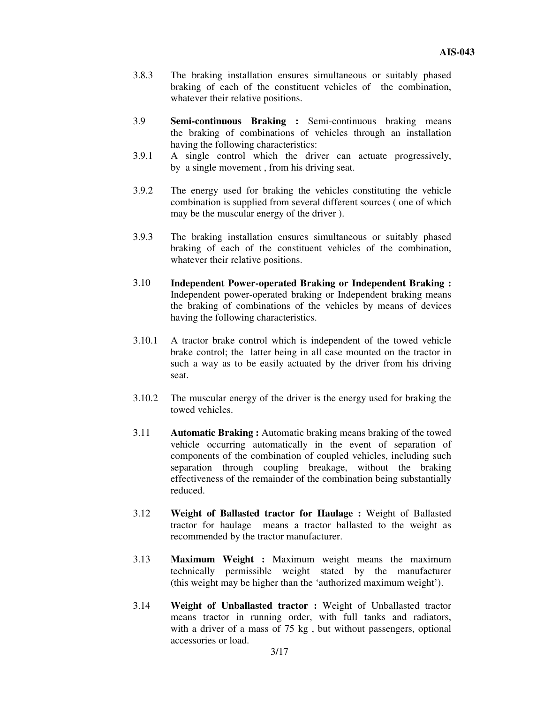- 3.8.3 The braking installation ensures simultaneous or suitably phased braking of each of the constituent vehicles of the combination, whatever their relative positions.
- 3.9 **Semi-continuous Braking :** Semi-continuous braking means the braking of combinations of vehicles through an installation having the following characteristics:
- 3.9.1 A single control which the driver can actuate progressively, by a single movement , from his driving seat.
- 3.9.2 The energy used for braking the vehicles constituting the vehicle combination is supplied from several different sources ( one of which may be the muscular energy of the driver ).
- 3.9.3 The braking installation ensures simultaneous or suitably phased braking of each of the constituent vehicles of the combination, whatever their relative positions.
- 3.10 **Independent Power-operated Braking or Independent Braking :** Independent power-operated braking or Independent braking means the braking of combinations of the vehicles by means of devices having the following characteristics.
- 3.10.1 A tractor brake control which is independent of the towed vehicle brake control; the latter being in all case mounted on the tractor in such a way as to be easily actuated by the driver from his driving seat.
- 3.10.2 The muscular energy of the driver is the energy used for braking the towed vehicles.
- 3.11 **Automatic Braking :** Automatic braking means braking of the towed vehicle occurring automatically in the event of separation of components of the combination of coupled vehicles, including such separation through coupling breakage, without the braking effectiveness of the remainder of the combination being substantially reduced.
- 3.12 **Weight of Ballasted tractor for Haulage :** Weight of Ballasted tractor for haulage means a tractor ballasted to the weight as recommended by the tractor manufacturer.
- 3.13 **Maximum Weight :** Maximum weight means the maximum technically permissible weight stated by the manufacturer (this weight may be higher than the 'authorized maximum weight').
- 3.14 **Weight of Unballasted tractor :** Weight of Unballasted tractor means tractor in running order, with full tanks and radiators, with a driver of a mass of 75 kg, but without passengers, optional accessories or load.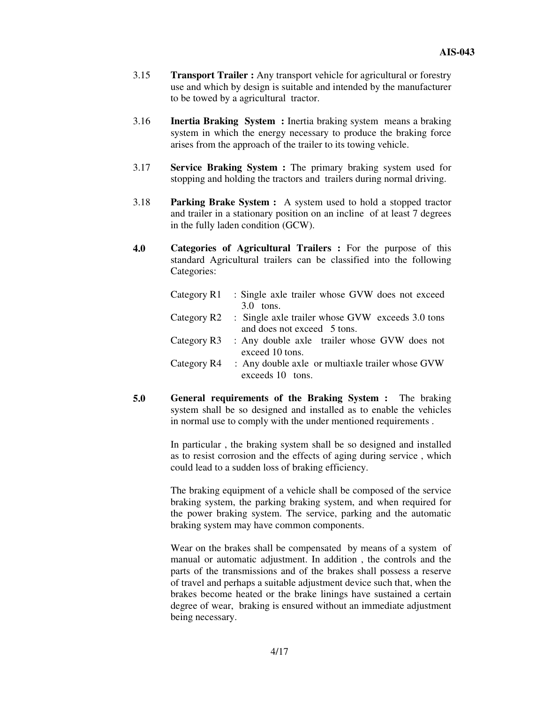- 3.15 **Transport Trailer :** Any transport vehicle for agricultural or forestry use and which by design is suitable and intended by the manufacturer to be towed by a agricultural tractor.
- 3.16 **Inertia Braking System :** Inertia braking system means a braking system in which the energy necessary to produce the braking force arises from the approach of the trailer to its towing vehicle.
- 3.17 **Service Braking System :** The primary braking system used for stopping and holding the tractors and trailers during normal driving.
- 3.18 **Parking Brake System :** A system used to hold a stopped tractor and trailer in a stationary position on an incline of at least 7 degrees in the fully laden condition (GCW).
- **4.0 Categories of Agricultural Trailers :** For the purpose of this standard Agricultural trailers can be classified into the following Categories:

| Category R1 | : Single axle trailer whose GVW does not exceed  |
|-------------|--------------------------------------------------|
|             | $3.0$ tons.                                      |
| Category R2 | : Single axle trailer whose GVW exceeds 3.0 tons |
|             | and does not exceed 5 tons.                      |
| Category R3 | : Any double axle trailer whose GVW does not     |
|             | exceed 10 tons.                                  |
| Category R4 | : Any double axle or multiaxle trailer whose GVW |
|             | exceeds 10 tons.                                 |

**5.0 General requirements of the Braking System :** The braking system shall be so designed and installed as to enable the vehicles in normal use to comply with the under mentioned requirements .

> In particular , the braking system shall be so designed and installed as to resist corrosion and the effects of aging during service , which could lead to a sudden loss of braking efficiency.

> The braking equipment of a vehicle shall be composed of the service braking system, the parking braking system, and when required for the power braking system. The service, parking and the automatic braking system may have common components.

> Wear on the brakes shall be compensated by means of a system of manual or automatic adjustment. In addition , the controls and the parts of the transmissions and of the brakes shall possess a reserve of travel and perhaps a suitable adjustment device such that, when the brakes become heated or the brake linings have sustained a certain degree of wear, braking is ensured without an immediate adjustment being necessary.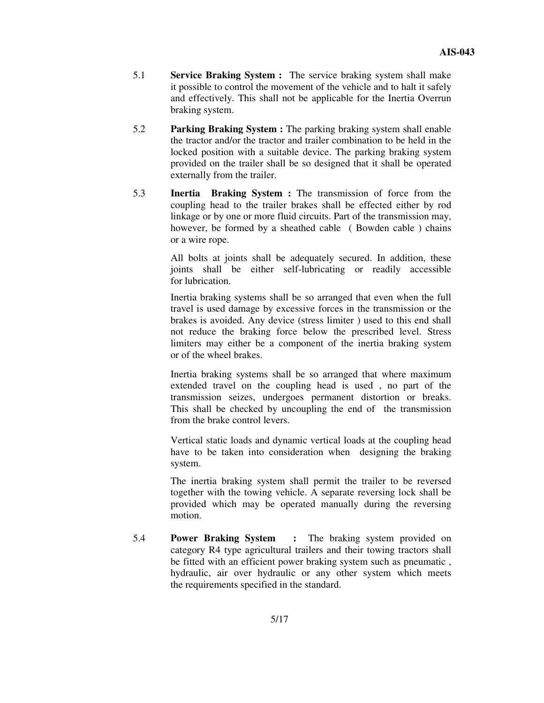- 5.1 **Service Braking System :** The service braking system shall make it possible to control the movement of the vehicle and to halt it safely and effectively. This shall not be applicable for the Inertia Overrun braking system.
- 5.2 **Parking Braking System :** The parking braking system shall enable the tractor and/or the tractor and trailer combination to be held in the locked position with a suitable device. The parking braking system provided on the trailer shall be so designed that it shall be operated externally from the trailer.
- 5.3 **Inertia Braking System :** The transmission of force from the coupling head to the trailer brakes shall be effected either by rod linkage or by one or more fluid circuits. Part of the transmission may, however, be formed by a sheathed cable ( Bowden cable ) chains or a wire rope.

All bolts at joints shall be adequately secured. In addition, these joints shall be either self-lubricating or readily accessible for lubrication.

Inertia braking systems shall be so arranged that even when the full travel is used damage by excessive forces in the transmission or the brakes is avoided. Any device (stress limiter ) used to this end shall not reduce the braking force below the prescribed level. Stress limiters may either be a component of the inertia braking system or of the wheel brakes.

Inertia braking systems shall be so arranged that where maximum extended travel on the coupling head is used , no part of the transmission seizes, undergoes permanent distortion or breaks. This shall be checked by uncoupling the end of the transmission from the brake control levers.

Vertical static loads and dynamic vertical loads at the coupling head have to be taken into consideration when designing the braking system.

The inertia braking system shall permit the trailer to be reversed together with the towing vehicle. A separate reversing lock shall be provided which may be operated manually during the reversing motion.

5.4 **Power Braking System :** The braking system provided on category R4 type agricultural trailers and their towing tractors shall be fitted with an efficient power braking system such as pneumatic , hydraulic, air over hydraulic or any other system which meets the requirements specified in the standard.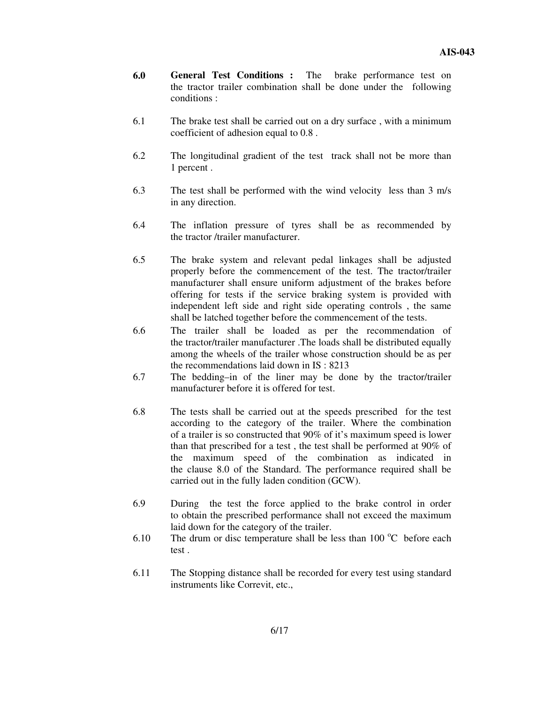- **6.0 General Test Conditions :** The brake performance test on the tractor trailer combination shall be done under the following conditions :
- 6.1 The brake test shall be carried out on a dry surface , with a minimum coefficient of adhesion equal to 0.8 .
- 6.2 The longitudinal gradient of the test track shall not be more than 1 percent .
- 6.3 The test shall be performed with the wind velocity less than 3 m/s in any direction.
- 6.4 The inflation pressure of tyres shall be as recommended by the tractor /trailer manufacturer.
- 6.5 The brake system and relevant pedal linkages shall be adjusted properly before the commencement of the test. The tractor/trailer manufacturer shall ensure uniform adjustment of the brakes before offering for tests if the service braking system is provided with independent left side and right side operating controls , the same shall be latched together before the commencement of the tests.
- 6.6 The trailer shall be loaded as per the recommendation of the tractor/trailer manufacturer .The loads shall be distributed equally among the wheels of the trailer whose construction should be as per the recommendations laid down in IS : 8213
- 6.7 The bedding–in of the liner may be done by the tractor/trailer manufacturer before it is offered for test.
- 6.8 The tests shall be carried out at the speeds prescribed for the test according to the category of the trailer. Where the combination of a trailer is so constructed that 90% of it's maximum speed is lower than that prescribed for a test , the test shall be performed at 90% of the maximum speed of the combination as indicated in the clause 8.0 of the Standard. The performance required shall be carried out in the fully laden condition (GCW).
- 6.9 During the test the force applied to the brake control in order to obtain the prescribed performance shall not exceed the maximum laid down for the category of the trailer.
- 6.10 The drum or disc temperature shall be less than  $100^{\circ}$ C before each test .
- 6.11 The Stopping distance shall be recorded for every test using standard instruments like Correvit, etc.,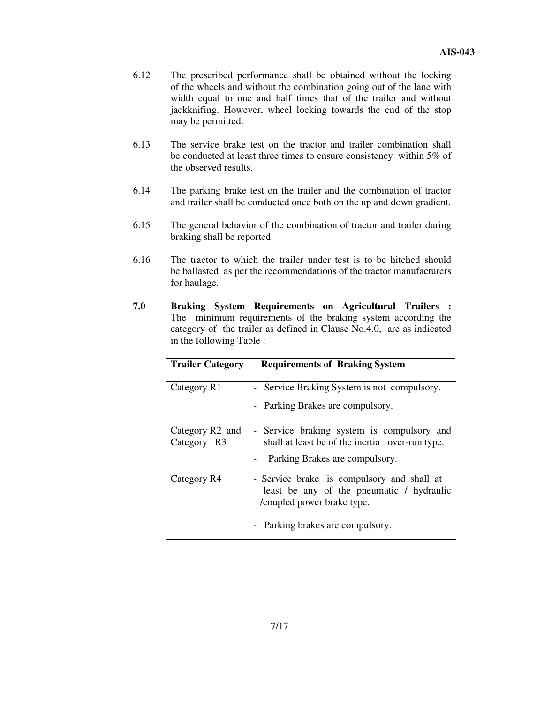- 6.12 The prescribed performance shall be obtained without the locking of the wheels and without the combination going out of the lane with width equal to one and half times that of the trailer and without jackknifing. However, wheel locking towards the end of the stop may be permitted.
- 6.13 The service brake test on the tractor and trailer combination shall be conducted at least three times to ensure consistency within 5% of the observed results.
- 6.14 The parking brake test on the trailer and the combination of tractor and trailer shall be conducted once both on the up and down gradient.
- 6.15 The general behavior of the combination of tractor and trailer during braking shall be reported.
- 6.16 The tractor to which the trailer under test is to be hitched should be ballasted as per the recommendations of the tractor manufacturers for haulage.
- **7.0 Braking System Requirements on Agricultural Trailers :** The minimum requirements of the braking system according the category of the trailer as defined in Clause No.4.0, are as indicated in the following Table :

| <b>Trailer Category</b>                    | <b>Requirements of Braking System</b>                                                                                                                   |
|--------------------------------------------|---------------------------------------------------------------------------------------------------------------------------------------------------------|
| Category R1                                | - Service Braking System is not compulsory.<br>- Parking Brakes are compulsory.                                                                         |
| Category R <sub>2</sub> and<br>Category R3 | - Service braking system is compulsory and<br>shall at least be of the inertia over-run type.<br>Parking Brakes are compulsory.                         |
| Category R4                                | - Service brake is compulsory and shall at<br>least be any of the pneumatic / hydraulic<br>/coupled power brake type.<br>Parking brakes are compulsory. |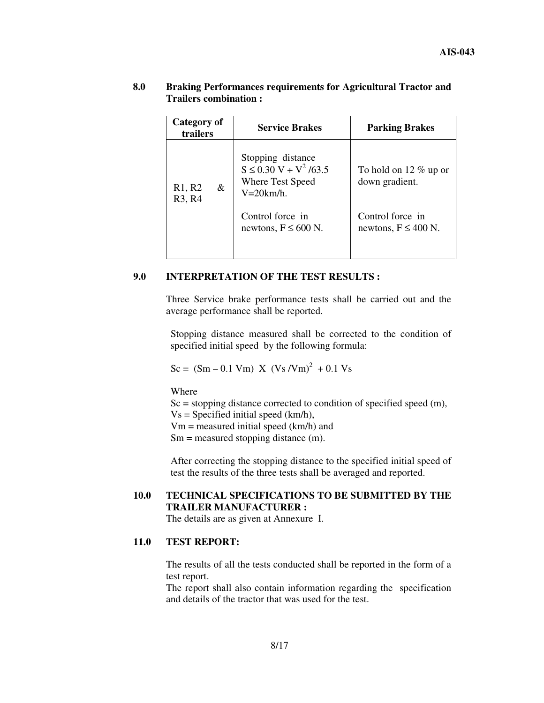| Category of<br>trailers                        | <b>Service Brakes</b>                                                                | <b>Parking Brakes</b>                        |
|------------------------------------------------|--------------------------------------------------------------------------------------|----------------------------------------------|
| R1, R2<br>&<br>R <sub>3</sub> , R <sub>4</sub> | Stopping distance<br>$S \le 0.30 V + V^2 / 63.5$<br>Where Test Speed<br>$V=20$ km/h. | To hold on 12 $\%$ up or<br>down gradient.   |
|                                                | Control force in<br>newtons, $F \le 600$ N.                                          | Control force in<br>newtons, $F \leq 400$ N. |

#### **8.0 Braking Performances requirements for Agricultural Tractor and Trailers combination :**

#### **9.0 INTERPRETATION OF THE TEST RESULTS :**

Three Service brake performance tests shall be carried out and the average performance shall be reported.

Stopping distance measured shall be corrected to the condition of specified initial speed by the following formula:

$$
Sc = (Sm - 0.1 Vm) X (Vs/Vm)2 + 0.1 Vs
$$

Where

 $Sc = stopping distance corrected to condition of specified speed (m),$ 

 $Vs = Specificd initial speed (km/h),$ 

Vm = measured initial speed (km/h) and

 $Sm =$  measured stopping distance  $(m)$ .

After correcting the stopping distance to the specified initial speed of test the results of the three tests shall be averaged and reported.

## **10.0 TECHNICAL SPECIFICATIONS TO BE SUBMITTED BY THE TRAILER MANUFACTURER :**

The details are as given at Annexure I.

### **11.0 TEST REPORT:**

The results of all the tests conducted shall be reported in the form of a test report.

The report shall also contain information regarding the specification and details of the tractor that was used for the test.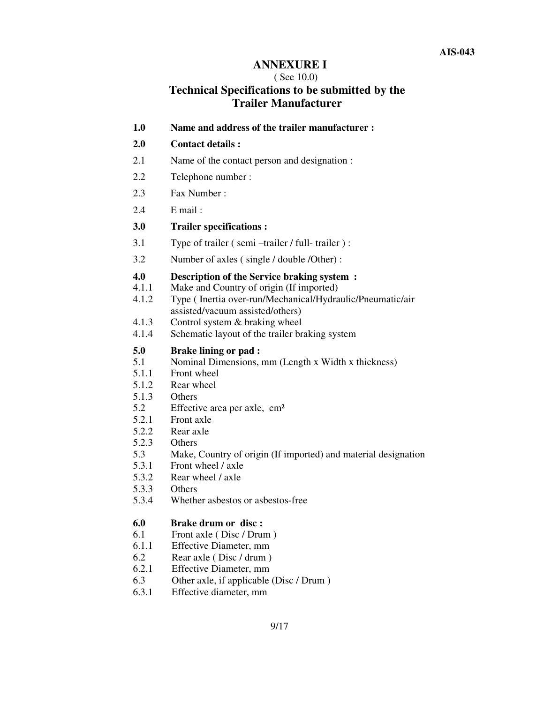## **ANNEXURE I**

#### ( See 10.0)

# **Technical Specifications to be submitted by the Trailer Manufacturer**

**1.0 Name and address of the trailer manufacturer :**

#### **2.0 Contact details :**

- 2.1 Name of the contact person and designation :
- 2.2 Telephone number :
- 2.3 Fax Number :
- 2.4 E mail :
- **3.0 Trailer specifications :**
- 3.1 Type of trailer ( semi –trailer / full- trailer ) :
- 3.2 Number of axles ( single / double /Other) :

# **4.0 Description of the Service braking system :**<br>4.1.1 **Make and Country of origin (If imported)**

- Make and Country of origin (If imported)
- 4.1.2 Type ( Inertia over-run/Mechanical/Hydraulic/Pneumatic/air assisted/vacuum assisted/others)
- 4.1.3 Control system & braking wheel
- 4.1.4 Schematic layout of the trailer braking system

#### **5.0 Brake lining or pad :**

- 5.1 Nominal Dimensions, mm (Length x Width x thickness)
- 5.1.1 Front wheel
- 5.1.2 Rear wheel
- 5.1.3 Others
- 5.2 Effective area per axle, cm²
- 5.2.1 Front axle
- 5.2.2 Rear axle
- 5.2.3 Others
- 5.3 Make, Country of origin (If imported) and material designation
- 5.3.1 Front wheel / axle
- 5.3.2 Rear wheel / axle
- 5.3.3 Others
- 5.3.4 Whether asbestos or asbestos-free

#### **6.0 Brake drum or disc :**

- 6.1 Front axle ( Disc / Drum )
- 6.1.1 Effective Diameter, mm
- 6.2 Rear axle ( Disc / drum )
- 6.2.1 Effective Diameter, mm
- 6.3 Other axle, if applicable (Disc / Drum )
- 6.3.1 Effective diameter, mm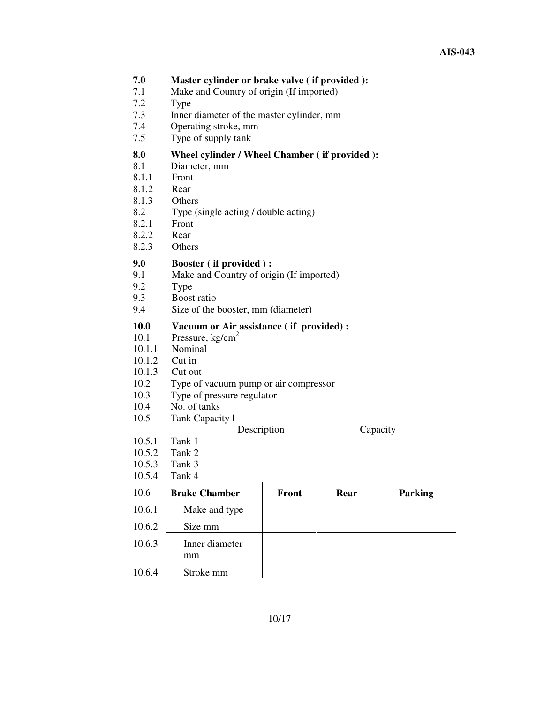| 7.0<br>7.1<br>7.2<br>7.3<br>7.4<br>7.5                                            | Master cylinder or brake valve (if provided):<br>Make and Country of origin (If imported)<br>Type<br>Inner diameter of the master cylinder, mm<br>Operating stroke, mm<br>Type of supply tank            |       |      |          |
|-----------------------------------------------------------------------------------|----------------------------------------------------------------------------------------------------------------------------------------------------------------------------------------------------------|-------|------|----------|
| 8.0<br>8.1<br>8.1.1<br>8.1.2<br>8.1.3<br>8.2<br>8.2.1<br>8.2.2<br>8.2.3           | Wheel cylinder / Wheel Chamber (if provided):<br>Diameter, mm<br>Front<br>Rear<br>Others<br>Type (single acting / double acting)<br>Front<br>Rear<br>Others                                              |       |      |          |
| 9.0<br>9.1<br>9.2<br>9.3<br>9.4                                                   | <b>Booster</b> (if provided):<br>Make and Country of origin (If imported)<br>Type<br>Boost ratio<br>Size of the booster, mm (diameter)                                                                   |       |      |          |
| <b>10.0</b><br>10.1<br>10.1.1<br>10.1.2<br>10.1.3<br>10.2<br>10.3<br>10.4<br>10.5 | Vacuum or Air assistance (if provided) :<br>Pressure, $kg/cm2$<br>Nominal<br>Cut in<br>Cut out<br>Type of vacuum pump or air compressor<br>Type of pressure regulator<br>No. of tanks<br>Tank Capacity 1 |       |      |          |
| 10.5.1<br>10.5.2<br>10.5.3<br>10.5.4                                              | Description<br>Tank 1<br>Tank 2<br>Tank 3<br>Tank 4                                                                                                                                                      |       |      | Capacity |
| 10.6                                                                              | <b>Brake Chamber</b>                                                                                                                                                                                     | Front | Rear | Parking  |
| 10.6.1                                                                            | Make and type                                                                                                                                                                                            |       |      |          |
| 10.6.2                                                                            | Size mm                                                                                                                                                                                                  |       |      |          |
| 10.6.3                                                                            | Inner diameter<br>mm                                                                                                                                                                                     |       |      |          |
| 10.6.4                                                                            | Stroke mm                                                                                                                                                                                                |       |      |          |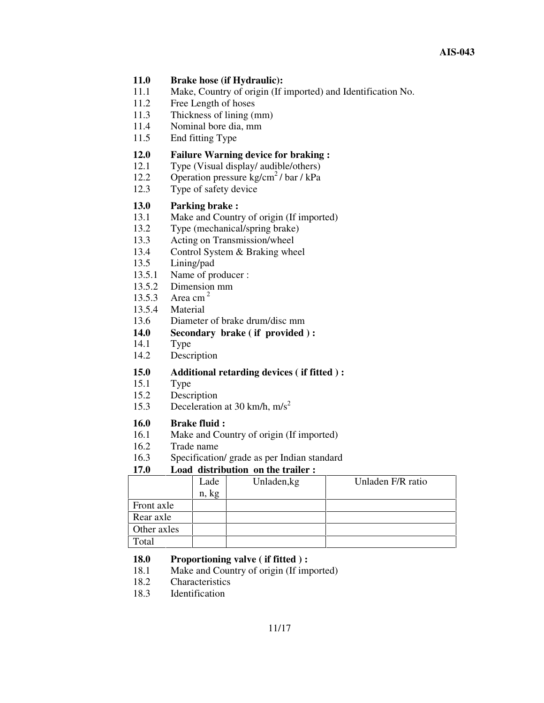### **11.0 Brake hose (if Hydraulic):**

- 11.1 Make, Country of origin (If imported) and Identification No.
- 11.2 Free Length of hoses
- 11.3 Thickness of lining (mm)
- 11.4 Nominal bore dia, mm
- 11.5 End fitting Type

# **12.0 Failure Warning device for braking :**<br>12.1 Type (Visual display/ audible/others)

- Type (Visual display/ audible/others)
- 12.2 Operation pressure kg/cm<sup>2</sup>/bar/kPa
- 12.3 Type of safety device

# **13.0 Parking brake :**

- Make and Country of origin (If imported)
- 13.2 Type (mechanical/spring brake)
- 13.3 Acting on Transmission/wheel
- 13.4 Control System & Braking wheel
- 13.5 Lining/pad
- 13.5.1 Name of producer :
- 13.5.2 Dimension mm
- 13.5.3 Area cm<sup>2</sup>
- 13.5.4 Material
- 13.6 Diameter of brake drum/disc mm
- **14.0 Secondary brake ( if provided ) :**
- 14.1 Type
- 14.2 Description

# **15.0 Additional retarding devices ( if fitted ) :**

- Type.
- 15.2 Description
- 15.3 Deceleration at 30 km/h, m/s<sup>2</sup>

# **16.0 Brake fluid :**

- Make and Country of origin (If imported)
- 16.2 Trade name
- 16.3 Specification/ grade as per Indian standard

## **17.0 Load distribution on the trailer :**

|             | Lade  | Unladen, kg | Unladen F/R ratio |
|-------------|-------|-------------|-------------------|
|             | n, kg |             |                   |
| Front axle  |       |             |                   |
| Rear axle   |       |             |                   |
| Other axles |       |             |                   |
| `otal       |       |             |                   |

## **18.0 Proportioning valve ( if fitted ) :**

- 18.1 Make and Country of origin (If imported)
- 18.2 Characteristics
- 18.3 Identification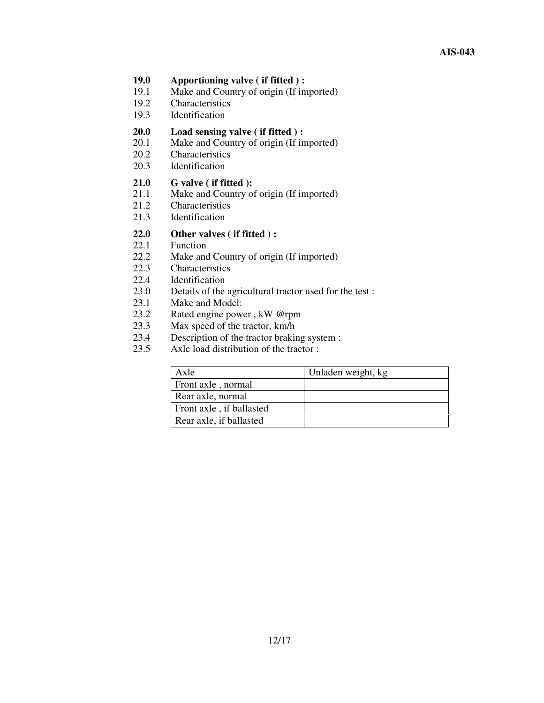- **19.0 Apportioning valve ( if fitted ) :**
- 19.1 Make and Country of origin (If imported)<br>19.2 Characteristics
- Characteristics
- 19.3 Identification

#### **20.0 Load sensing valve ( if fitted ) :**

- 20.1 Make and Country of origin (If imported)
- 20.2 Characteristics
- 20.3 Identification

# 21.0 **G valve** (**if fitted** ):<br>21.1 **Make and Country of**

- Make and Country of origin (If imported)
- 21.2 Characteristics
- 21.3 Identification

# **22.0 Other valves ( if fitted ) :**

- Function
- 22.2 Make and Country of origin (If imported)
- 22.3 Characteristics
- 22.4 Identification
- 23.0 Details of the agricultural tractor used for the test :
- 23.1 Make and Model:
- 23.2 Rated engine power , kW @rpm
- 23.3 Max speed of the tractor, km/h<br>23.4 Description of the tractor braking
- 23.4 Description of the tractor braking system :<br>23.5 Axle load distribution of the tractor :
- Axle load distribution of the tractor :

| Axle                     | Unladen weight, kg |
|--------------------------|--------------------|
| Front axle, normal       |                    |
| Rear axle, normal        |                    |
| Front axle, if ballasted |                    |
| Rear axle, if ballasted  |                    |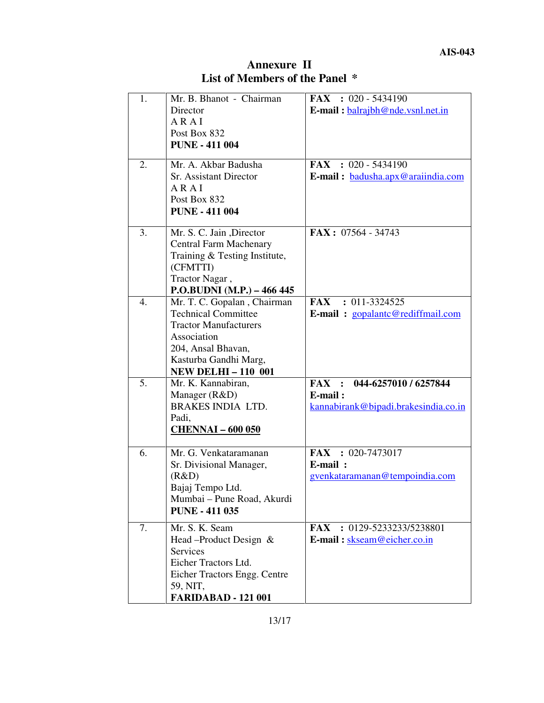| <b>Annexure II</b>             |  |
|--------------------------------|--|
| List of Members of the Panel * |  |

| 1. | Mr. B. Bhanot - Chairman      | <b>FAX</b> : $020 - 5434190$         |
|----|-------------------------------|--------------------------------------|
|    | Director                      | E-mail: $balraibh@nde.vsnl.net.in$   |
|    | ARAI                          |                                      |
|    | Post Box 832                  |                                      |
|    | <b>PUNE - 411 004</b>         |                                      |
| 2. | Mr. A. Akbar Badusha          | FAX : $020 - 5434190$                |
|    | <b>Sr. Assistant Director</b> | E-mail: badusha.apx@araiindia.com    |
|    | ARAI                          |                                      |
|    | Post Box 832                  |                                      |
|    | <b>PUNE - 411 004</b>         |                                      |
|    |                               |                                      |
| 3. | Mr. S. C. Jain , Director     | $\textbf{FAX}: 07564 - 34743$        |
|    | <b>Central Farm Machenary</b> |                                      |
|    | Training & Testing Institute, |                                      |
|    | (CFMTTI)                      |                                      |
|    | Tractor Nagar,                |                                      |
|    | P.O.BUDNI (M.P.) - 466 445    |                                      |
| 4. | Mr. T. C. Gopalan, Chairman   | FAX : 011-3324525                    |
|    | <b>Technical Committee</b>    | E-mail: gopalantc@rediffmail.com     |
|    | <b>Tractor Manufacturers</b>  |                                      |
|    | Association                   |                                      |
|    | 204, Ansal Bhavan,            |                                      |
|    | Kasturba Gandhi Marg,         |                                      |
|    | <b>NEW DELHI-110 001</b>      |                                      |
| 5. | Mr. K. Kannabiran,            | 044-6257010 / 6257844<br>FAX :       |
|    | Manager (R&D)                 | E-mail:                              |
|    | <b>BRAKES INDIA LTD.</b>      | kannabirank@bipadi.brakesindia.co.in |
|    | Padi,                         |                                      |
|    | <b>CHENNAI - 600 050</b>      |                                      |
| 6. | Mr. G. Venkataramanan         | $FAX : 020-7473017$                  |
|    | Sr. Divisional Manager,       | E-mail:                              |
|    | (R&D)                         | gvenkataramanan@tempoindia.com       |
|    | Bajaj Tempo Ltd.              |                                      |
|    | Mumbai - Pune Road, Akurdi    |                                      |
|    | <b>PUNE - 411 035</b>         |                                      |
| 7. | Mr. S. K. Seam                | <b>FAX</b> : 0129-5233233/5238801    |
|    | Head –Product Design &        | E-mail: skseam@eicher.co.in          |
|    | <b>Services</b>               |                                      |
|    | Eicher Tractors Ltd.          |                                      |
|    | Eicher Tractors Engg. Centre  |                                      |
|    | 59, NIT,                      |                                      |
|    | <b>FARIDABAD - 121 001</b>    |                                      |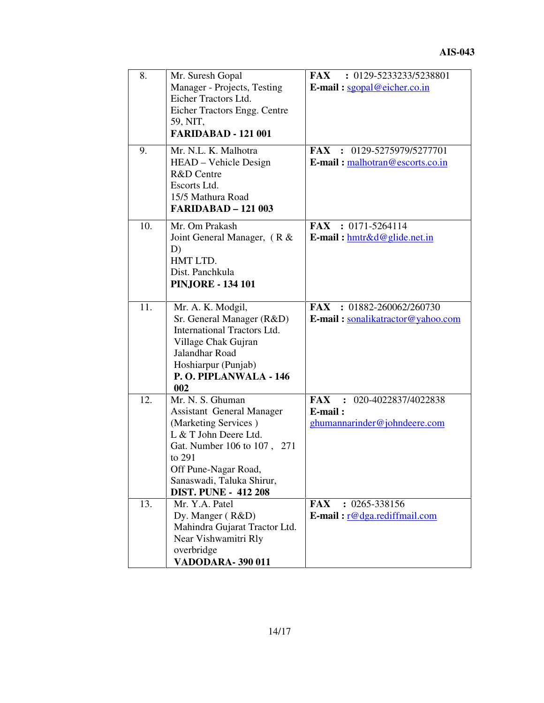| 8.<br>9. | Mr. Suresh Gopal<br>Manager - Projects, Testing<br>Eicher Tractors Ltd.<br>Eicher Tractors Engg. Centre<br>59, NIT,<br><b>FARIDABAD - 121 001</b><br>Mr. N.L. K. Malhotra<br>HEAD - Vehicle Design<br>R&D Centre<br>Escorts Ltd.<br>15/5 Mathura Road | FAX : 0129-5233233/5238801<br>E-mail: $sgonal@eicher.co.in$<br>FAX : 0129-5275979/5277701<br>E-mail: malhotran@escorts.co.in |
|----------|-------------------------------------------------------------------------------------------------------------------------------------------------------------------------------------------------------------------------------------------------------|------------------------------------------------------------------------------------------------------------------------------|
| 10.      | <b>FARIDABAD - 121 003</b><br>Mr. Om Prakash<br>Joint General Manager, (R &<br>D)<br>HMT LTD.<br>Dist. Panchkula<br><b>PINJORE - 134 101</b>                                                                                                          | $FAX : 0171 - 5264114$<br>E-mail: hmtr&d@glide.net.in                                                                        |
| 11.      | Mr. A. K. Modgil,<br>Sr. General Manager (R&D)<br><b>International Tractors Ltd.</b><br>Village Chak Gujran<br>Jalandhar Road<br>Hoshiarpur (Punjab)<br>P.O. PIPLANWALA - 146<br>002                                                                  | FAX : 01882-260062/260730<br>E-mail: sonalikatractor@yahoo.com                                                               |
| 12.      | Mr. N. S. Ghuman<br><b>Assistant General Manager</b><br>(Marketing Services)<br>L & T John Deere Ltd.<br>Gat. Number 106 to 107, 271<br>to 291<br>Off Pune-Nagar Road,<br>Sanaswadi, Taluka Shirur,<br><b>DIST. PUNE - 412 208</b>                    | <b>FAX</b><br>: 020-4022837/4022838<br>E-mail:<br>ghumannarinder@johndeere.com                                               |
| 13.      | Mr. Y.A. Patel<br>Dy. Manger (R&D)<br>Mahindra Gujarat Tractor Ltd.<br>Near Vishwamitri Rly<br>overbridge<br><b>VADODARA-390011</b>                                                                                                                   | $: 0265 - 338156$<br><b>FAX</b><br>E-mail: $r@dg$ a.rediffmail.com                                                           |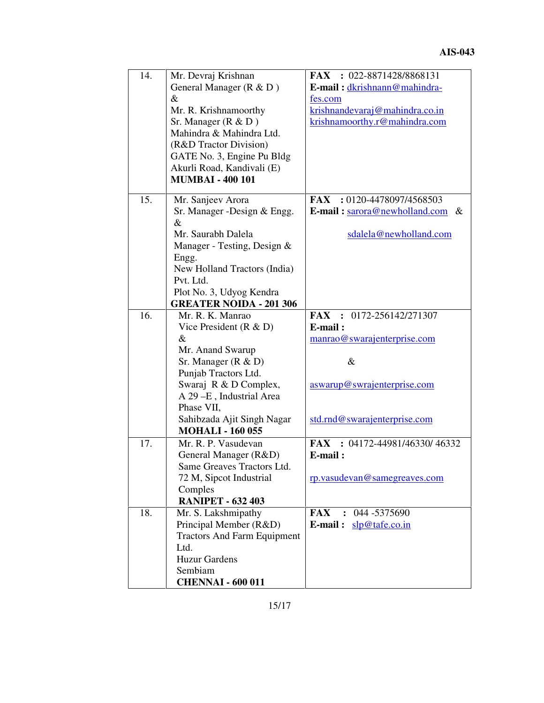| 14. | Mr. Devraj Krishnan                | FAX : 022-8871428/8868131                    |
|-----|------------------------------------|----------------------------------------------|
|     | General Manager (R & D)            | E-mail: dkrishnann@mahindra-                 |
|     | &                                  | fes.com                                      |
|     | Mr. R. Krishnamoorthy              | krishnandevaraj@mahindra.co.in               |
|     | Sr. Manager ( $R & D$ )            | krishnamoorthy.r@mahindra.com                |
|     | Mahindra & Mahindra Ltd.           |                                              |
|     | (R&D Tractor Division)             |                                              |
|     | GATE No. 3, Engine Pu Bldg         |                                              |
|     | Akurli Road, Kandivali (E)         |                                              |
|     | <b>MUMBAI - 400 101</b>            |                                              |
|     |                                    |                                              |
| 15. | Mr. Sanjeev Arora                  | FAX: $0120-4478097/4568503$                  |
|     | Sr. Manager - Design & Engg.       | <b>E-mail:</b> $\arccos 2$ enewholland.com & |
|     | $\&$                               |                                              |
|     | Mr. Saurabh Dalela                 | sdalela@newholland.com                       |
|     | Manager - Testing, Design &        |                                              |
|     | Engg.                              |                                              |
|     | New Holland Tractors (India)       |                                              |
|     | Pvt. Ltd.                          |                                              |
|     | Plot No. 3, Udyog Kendra           |                                              |
|     | <b>GREATER NOIDA - 201 306</b>     |                                              |
| 16. | Mr. R. K. Manrao                   | FAX : 0172-256142/271307                     |
|     | Vice President $(R & D)$           | E-mail:                                      |
|     | $\&$                               | manrao@swarajenterprise.com                  |
|     | Mr. Anand Swarup                   |                                              |
|     | Sr. Manager $(R & D)$              | $\&$                                         |
|     | Punjab Tractors Ltd.               |                                              |
|     | Swaraj R & D Complex,              | aswarup@swrajenterprise.com                  |
|     | A 29-E, Industrial Area            |                                              |
|     | Phase VII,                         |                                              |
|     | Sahibzada Ajit Singh Nagar         | std.rnd@swarajenterprise.com                 |
|     | <b>MOHALI - 160 055</b>            |                                              |
| 17. | Mr. R. P. Vasudevan                | : 04172-44981/46330/46332<br>FAX             |
|     | General Manager (R&D)              | E-mail:                                      |
|     | Same Greaves Tractors Ltd.         |                                              |
|     | 72 M, Sipcot Industrial            | rp.vasudevan@samegreaves.com                 |
|     | Comples                            |                                              |
|     | <b>RANIPET - 632 403</b>           |                                              |
| 18. | Mr. S. Lakshmipathy                | <b>FAX</b><br>044 - 5375690<br>$\mathbf{r}$  |
|     | Principal Member (R&D)             | E-mail: $slp@tafe.co.in$                     |
|     | <b>Tractors And Farm Equipment</b> |                                              |
|     | Ltd.                               |                                              |
|     | <b>Huzur Gardens</b>               |                                              |
|     | Sembiam                            |                                              |
|     | <b>CHENNAI - 600 011</b>           |                                              |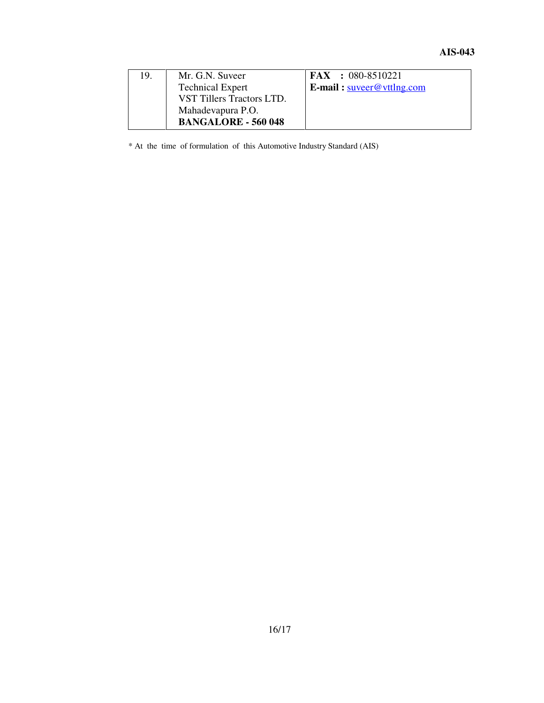| 19. | Mr. G.N. Suveer            | $FAX : 080-8510221$                 |
|-----|----------------------------|-------------------------------------|
|     | <b>Technical Expert</b>    | <b>E-mail:</b> $s$ uveer@vttlng.com |
|     | VST Tillers Tractors LTD.  |                                     |
|     | Mahadevapura P.O.          |                                     |
|     | <b>BANGALORE - 560 048</b> |                                     |

\* At the time of formulation of this Automotive Industry Standard (AIS)